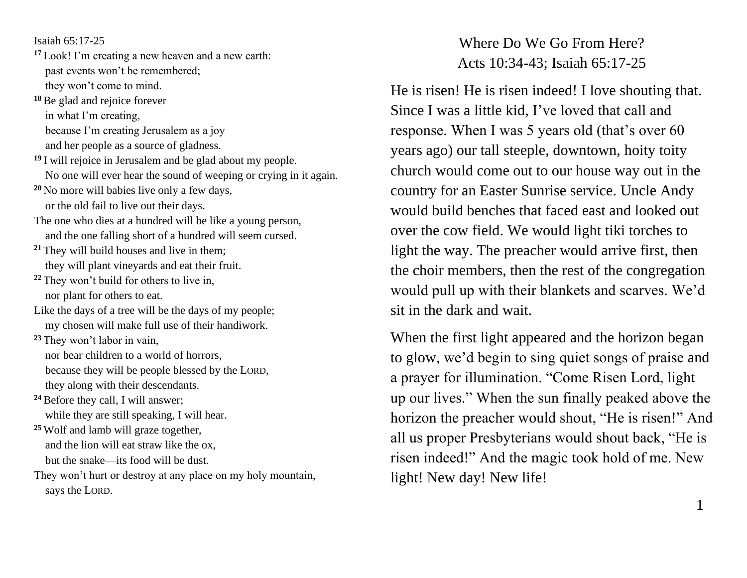Isaiah 65:17-25

- **<sup>17</sup>** Look! I'm creating a new heaven and a new earth: past events won't be remembered; they won't come to mind.
- **<sup>18</sup>**Be glad and rejoice forever in what I'm creating, because I'm creating Jerusalem as a joy and her people as a source of gladness.
- **<sup>19</sup>** I will rejoice in Jerusalem and be glad about my people. No one will ever hear the sound of weeping or crying in it again.
- **<sup>20</sup>** No more will babies live only a few days, or the old fail to live out their days.
- The one who dies at a hundred will be like a young person, and the one falling short of a hundred will seem cursed.
- **<sup>21</sup>** They will build houses and live in them; they will plant vineyards and eat their fruit.
- **<sup>22</sup>** They won't build for others to live in, nor plant for others to eat.
- Like the days of a tree will be the days of my people; my chosen will make full use of their handiwork.
- **<sup>23</sup>** They won't labor in vain, nor bear children to a world of horrors, because they will be people blessed by the LORD, they along with their descendants.
- <sup>24</sup> Before they call, I will answer; while they are still speaking, I will hear.
- **<sup>25</sup>** Wolf and lamb will graze together, and the lion will eat straw like the ox, but the snake—its food will be dust.
- They won't hurt or destroy at any place on my holy mountain, says the LORD.

## Where Do We Go From Here? Acts 10:34-43; Isaiah 65:17-25

He is risen! He is risen indeed! I love shouting that. Since I was a little kid, I've loved that call and response. When I was 5 years old (that's over 60 years ago) our tall steeple, downtown, hoity toity church would come out to our house way out in the country for an Easter Sunrise service. Uncle Andy would build benches that faced east and looked out over the cow field. We would light tiki torches to light the way. The preacher would arrive first, then the choir members, then the rest of the congregation would pull up with their blankets and scarves. We'd sit in the dark and wait.

When the first light appeared and the horizon began to glow, we'd begin to sing quiet songs of praise and a prayer for illumination. "Come Risen Lord, light up our lives." When the sun finally peaked above the horizon the preacher would shout, "He is risen!" And all us proper Presbyterians would shout back, "He is risen indeed!" And the magic took hold of me. New light! New day! New life!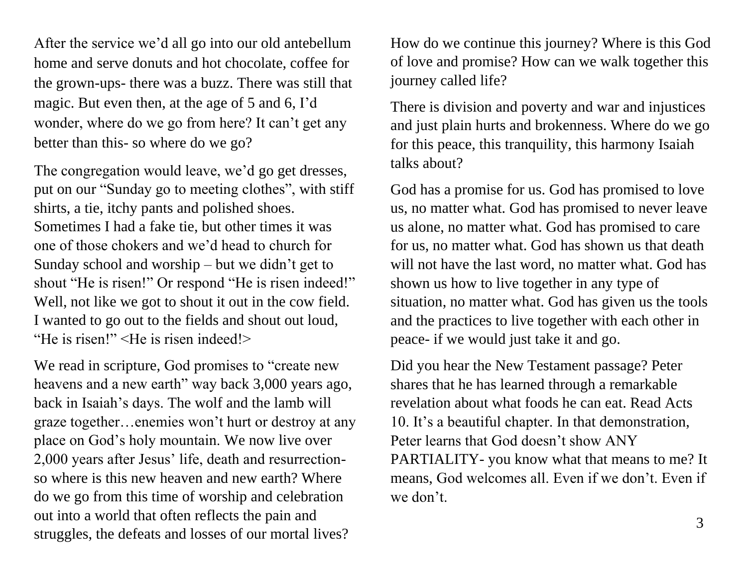After the service we'd all go into our old antebellum home and serve donuts and hot chocolate, coffee for the grown-ups- there was a buzz. There was still that magic. But even then, at the age of 5 and 6, I'd wonder, where do we go from here? It can't get any better than this- so where do we go?

The congregation would leave, we'd go get dresses, put on our "Sunday go to meeting clothes", with stiff shirts, a tie, itchy pants and polished shoes. Sometimes I had a fake tie, but other times it was one of those chokers and we'd head to church for Sunday school and worship – but we didn't get to shout "He is risen!" Or respond "He is risen indeed!" Well, not like we got to shout it out in the cow field. I wanted to go out to the fields and shout out loud, "He is risen!" <He is risen indeed!>

We read in scripture, God promises to "create new heavens and a new earth" way back 3,000 years ago, back in Isaiah's days. The wolf and the lamb will graze together…enemies won't hurt or destroy at any place on God's holy mountain. We now live over 2,000 years after Jesus' life, death and resurrectionso where is this new heaven and new earth? Where do we go from this time of worship and celebration out into a world that often reflects the pain and struggles, the defeats and losses of our mortal lives?

How do we continue this journey? Where is this God of love and promise? How can we walk together this journey called life?

There is division and poverty and war and injustices and just plain hurts and brokenness. Where do we go for this peace, this tranquility, this harmony Isaiah talks about?

God has a promise for us. God has promised to love us, no matter what. God has promised to never leave us alone, no matter what. God has promised to care for us, no matter what. God has shown us that death will not have the last word, no matter what. God has shown us how to live together in any type of situation, no matter what. God has given us the tools and the practices to live together with each other in peace- if we would just take it and go.

Did you hear the New Testament passage? Peter shares that he has learned through a remarkable revelation about what foods he can eat. Read Acts 10. It's a beautiful chapter. In that demonstration, Peter learns that God doesn't show ANY PARTIALITY- you know what that means to me? It means, God welcomes all. Even if we don't. Even if we don't.